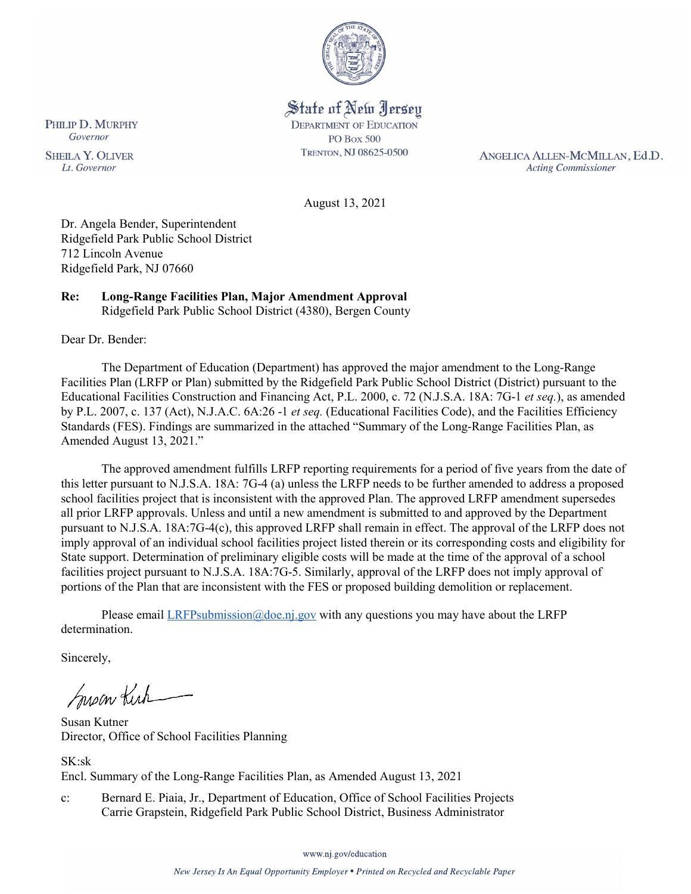

State of New Jersey **DEPARTMENT OF EDUCATION PO Box 500** TRENTON, NJ 08625-0500

ANGELICA ALLEN-MCMILLAN, Ed.D. **Acting Commissioner** 

August 13, 2021

Dr. Angela Bender, Superintendent Ridgefield Park Public School District 712 Lincoln Avenue Ridgefield Park, NJ 07660

#### **Re: Long-Range Facilities Plan, Major Amendment Approval**  Ridgefield Park Public School District (4380), Bergen County

Dear Dr. Bender:

The Department of Education (Department) has approved the major amendment to the Long-Range Facilities Plan (LRFP or Plan) submitted by the Ridgefield Park Public School District (District) pursuant to the Educational Facilities Construction and Financing Act, P.L. 2000, c. 72 (N.J.S.A. 18A: 7G-1 *et seq.*), as amended by P.L. 2007, c. 137 (Act), N.J.A.C. 6A:26 -1 *et seq.* (Educational Facilities Code), and the Facilities Efficiency Standards (FES). Findings are summarized in the attached "Summary of the Long-Range Facilities Plan, as Amended August 13, 2021."

The approved amendment fulfills LRFP reporting requirements for a period of five years from the date of this letter pursuant to N.J.S.A. 18A: 7G-4 (a) unless the LRFP needs to be further amended to address a proposed school facilities project that is inconsistent with the approved Plan. The approved LRFP amendment supersedes all prior LRFP approvals. Unless and until a new amendment is submitted to and approved by the Department pursuant to N.J.S.A. 18A:7G-4(c), this approved LRFP shall remain in effect. The approval of the LRFP does not imply approval of an individual school facilities project listed therein or its corresponding costs and eligibility for State support. Determination of preliminary eligible costs will be made at the time of the approval of a school facilities project pursuant to N.J.S.A. 18A:7G-5. Similarly, approval of the LRFP does not imply approval of portions of the Plan that are inconsistent with the FES or proposed building demolition or replacement.

Please email  $LRFP submission@doe.nj.gov$  with any questions you may have about the LRFP determination.

Sincerely,

Susan Kich

Susan Kutner Director, Office of School Facilities Planning

SK:sk

Encl. Summary of the Long-Range Facilities Plan, as Amended August 13, 2021

c: Bernard E. Piaia, Jr., Department of Education, Office of School Facilities Projects Carrie Grapstein, Ridgefield Park Public School District, Business Administrator

www.nj.gov/education

PHILIP D. MURPHY Governor

**SHEILA Y. OLIVER** Lt. Governor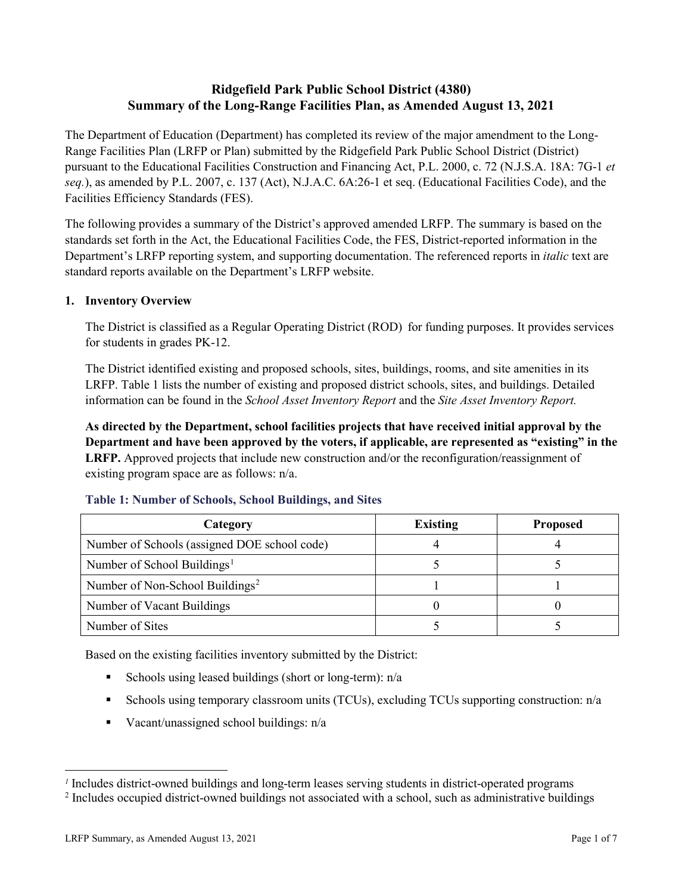# **Ridgefield Park Public School District (4380) Summary of the Long-Range Facilities Plan, as Amended August 13, 2021**

The Department of Education (Department) has completed its review of the major amendment to the Long-Range Facilities Plan (LRFP or Plan) submitted by the Ridgefield Park Public School District (District) pursuant to the Educational Facilities Construction and Financing Act, P.L. 2000, c. 72 (N.J.S.A. 18A: 7G-1 *et seq.*), as amended by P.L. 2007, c. 137 (Act), N.J.A.C. 6A:26-1 et seq. (Educational Facilities Code), and the Facilities Efficiency Standards (FES).

The following provides a summary of the District's approved amended LRFP. The summary is based on the standards set forth in the Act, the Educational Facilities Code, the FES, District-reported information in the Department's LRFP reporting system, and supporting documentation. The referenced reports in *italic* text are standard reports available on the Department's LRFP website.

# **1. Inventory Overview**

The District is classified as a Regular Operating District (ROD) for funding purposes. It provides services for students in grades PK-12.

The District identified existing and proposed schools, sites, buildings, rooms, and site amenities in its LRFP. Table 1 lists the number of existing and proposed district schools, sites, and buildings. Detailed information can be found in the *School Asset Inventory Report* and the *Site Asset Inventory Report.*

**As directed by the Department, school facilities projects that have received initial approval by the Department and have been approved by the voters, if applicable, are represented as "existing" in the LRFP.** Approved projects that include new construction and/or the reconfiguration/reassignment of existing program space are as follows: n/a.

| Category                                     | <b>Existing</b> | <b>Proposed</b> |
|----------------------------------------------|-----------------|-----------------|
| Number of Schools (assigned DOE school code) |                 |                 |
| Number of School Buildings <sup>1</sup>      |                 |                 |
| Number of Non-School Buildings <sup>2</sup>  |                 |                 |
| Number of Vacant Buildings                   |                 |                 |
| Number of Sites                              |                 |                 |

#### **Table 1: Number of Schools, School Buildings, and Sites**

Based on the existing facilities inventory submitted by the District:

- Schools using leased buildings (short or long-term):  $n/a$
- Schools using temporary classroom units (TCUs), excluding TCUs supporting construction: n/a
- Vacant/unassigned school buildings:  $n/a$

 $\overline{a}$ 

<span id="page-1-1"></span><span id="page-1-0"></span>*<sup>1</sup>* Includes district-owned buildings and long-term leases serving students in district-operated programs

<sup>&</sup>lt;sup>2</sup> Includes occupied district-owned buildings not associated with a school, such as administrative buildings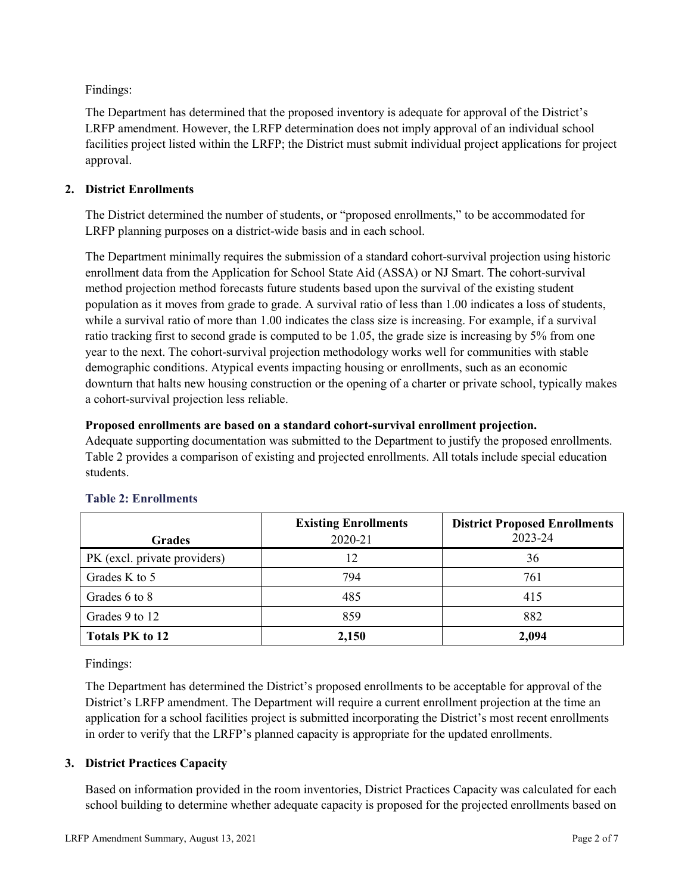Findings:

The Department has determined that the proposed inventory is adequate for approval of the District's LRFP amendment. However, the LRFP determination does not imply approval of an individual school facilities project listed within the LRFP; the District must submit individual project applications for project approval.

# **2. District Enrollments**

The District determined the number of students, or "proposed enrollments," to be accommodated for LRFP planning purposes on a district-wide basis and in each school.

The Department minimally requires the submission of a standard cohort-survival projection using historic enrollment data from the Application for School State Aid (ASSA) or NJ Smart. The cohort-survival method projection method forecasts future students based upon the survival of the existing student population as it moves from grade to grade. A survival ratio of less than 1.00 indicates a loss of students, while a survival ratio of more than 1.00 indicates the class size is increasing. For example, if a survival ratio tracking first to second grade is computed to be 1.05, the grade size is increasing by 5% from one year to the next. The cohort-survival projection methodology works well for communities with stable demographic conditions. Atypical events impacting housing or enrollments, such as an economic downturn that halts new housing construction or the opening of a charter or private school, typically makes a cohort-survival projection less reliable.

#### **Proposed enrollments are based on a standard cohort-survival enrollment projection.**

Adequate supporting documentation was submitted to the Department to justify the proposed enrollments. Table 2 provides a comparison of existing and projected enrollments. All totals include special education students.

|                              | <b>Existing Enrollments</b> | <b>District Proposed Enrollments</b> |
|------------------------------|-----------------------------|--------------------------------------|
| <b>Grades</b>                | 2020-21                     | 2023-24                              |
| PK (excl. private providers) | 12                          | 36                                   |
| Grades K to 5                | 794                         | 761                                  |
| Grades 6 to 8                | 485                         | 415                                  |
| Grades 9 to 12               | 859                         | 882                                  |
| <b>Totals PK to 12</b>       | 2,150                       | 2,094                                |

# **Table 2: Enrollments**

Findings:

The Department has determined the District's proposed enrollments to be acceptable for approval of the District's LRFP amendment. The Department will require a current enrollment projection at the time an application for a school facilities project is submitted incorporating the District's most recent enrollments in order to verify that the LRFP's planned capacity is appropriate for the updated enrollments.

# **3. District Practices Capacity**

Based on information provided in the room inventories, District Practices Capacity was calculated for each school building to determine whether adequate capacity is proposed for the projected enrollments based on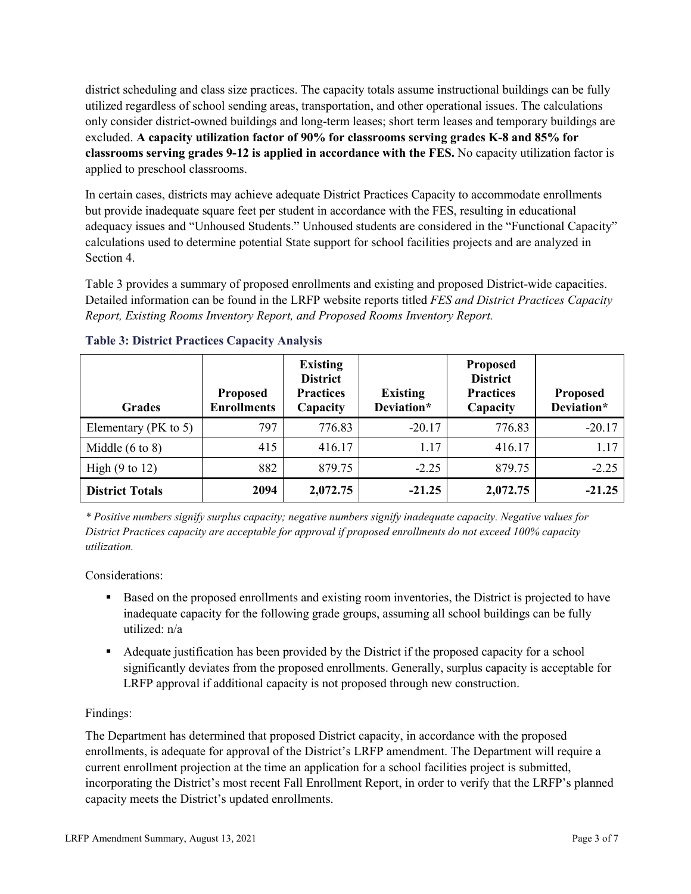district scheduling and class size practices. The capacity totals assume instructional buildings can be fully utilized regardless of school sending areas, transportation, and other operational issues. The calculations only consider district-owned buildings and long-term leases; short term leases and temporary buildings are excluded. **A capacity utilization factor of 90% for classrooms serving grades K-8 and 85% for classrooms serving grades 9-12 is applied in accordance with the FES.** No capacity utilization factor is applied to preschool classrooms.

In certain cases, districts may achieve adequate District Practices Capacity to accommodate enrollments but provide inadequate square feet per student in accordance with the FES, resulting in educational adequacy issues and "Unhoused Students." Unhoused students are considered in the "Functional Capacity" calculations used to determine potential State support for school facilities projects and are analyzed in Section 4.

Table 3 provides a summary of proposed enrollments and existing and proposed District-wide capacities. Detailed information can be found in the LRFP website reports titled *FES and District Practices Capacity Report, Existing Rooms Inventory Report, and Proposed Rooms Inventory Report.*

| <b>Grades</b>              | <b>Proposed</b><br><b>Enrollments</b> | <b>Existing</b><br><b>District</b><br><b>Practices</b><br>Capacity | <b>Existing</b><br>Deviation* | <b>Proposed</b><br><b>District</b><br><b>Practices</b><br>Capacity | <b>Proposed</b><br>Deviation* |
|----------------------------|---------------------------------------|--------------------------------------------------------------------|-------------------------------|--------------------------------------------------------------------|-------------------------------|
| Elementary ( $PK$ to 5)    | 797                                   | 776.83                                                             | $-20.17$                      | 776.83                                                             | $-20.17$                      |
| Middle $(6 \text{ to } 8)$ | 415                                   | 416.17                                                             | 1.17                          | 416.17                                                             | 1.17                          |
| High $(9 \text{ to } 12)$  | 882                                   | 879.75                                                             | $-2.25$                       | 879.75                                                             | $-2.25$                       |
| <b>District Totals</b>     | 2094                                  | 2,072.75                                                           | $-21.25$                      | 2,072.75                                                           | $-21.25$                      |

# **Table 3: District Practices Capacity Analysis**

*\* Positive numbers signify surplus capacity; negative numbers signify inadequate capacity. Negative values for District Practices capacity are acceptable for approval if proposed enrollments do not exceed 100% capacity utilization.*

Considerations:

- Based on the proposed enrollments and existing room inventories, the District is projected to have inadequate capacity for the following grade groups, assuming all school buildings can be fully utilized: n/a
- Adequate justification has been provided by the District if the proposed capacity for a school significantly deviates from the proposed enrollments. Generally, surplus capacity is acceptable for LRFP approval if additional capacity is not proposed through new construction.

# Findings:

The Department has determined that proposed District capacity, in accordance with the proposed enrollments, is adequate for approval of the District's LRFP amendment. The Department will require a current enrollment projection at the time an application for a school facilities project is submitted, incorporating the District's most recent Fall Enrollment Report, in order to verify that the LRFP's planned capacity meets the District's updated enrollments.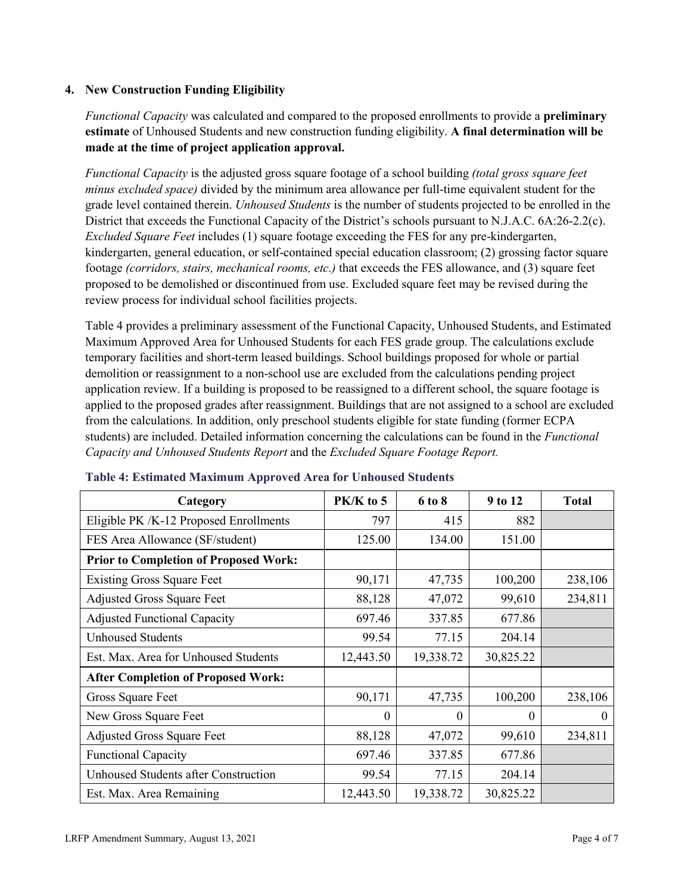#### **4. New Construction Funding Eligibility**

*Functional Capacity* was calculated and compared to the proposed enrollments to provide a **preliminary estimate** of Unhoused Students and new construction funding eligibility. **A final determination will be made at the time of project application approval.**

*Functional Capacity* is the adjusted gross square footage of a school building *(total gross square feet minus excluded space)* divided by the minimum area allowance per full-time equivalent student for the grade level contained therein. *Unhoused Students* is the number of students projected to be enrolled in the District that exceeds the Functional Capacity of the District's schools pursuant to N.J.A.C. 6A:26-2.2(c). *Excluded Square Feet* includes (1) square footage exceeding the FES for any pre-kindergarten, kindergarten, general education, or self-contained special education classroom; (2) grossing factor square footage *(corridors, stairs, mechanical rooms, etc.)* that exceeds the FES allowance, and (3) square feet proposed to be demolished or discontinued from use. Excluded square feet may be revised during the review process for individual school facilities projects.

Table 4 provides a preliminary assessment of the Functional Capacity, Unhoused Students, and Estimated Maximum Approved Area for Unhoused Students for each FES grade group. The calculations exclude temporary facilities and short-term leased buildings. School buildings proposed for whole or partial demolition or reassignment to a non-school use are excluded from the calculations pending project application review. If a building is proposed to be reassigned to a different school, the square footage is applied to the proposed grades after reassignment. Buildings that are not assigned to a school are excluded from the calculations. In addition, only preschool students eligible for state funding (former ECPA students) are included. Detailed information concerning the calculations can be found in the *Functional Capacity and Unhoused Students Report* and the *Excluded Square Footage Report.*

| Category                                     | PK/K to 5 | 6 to 8    | 9 to 12   | <b>Total</b> |
|----------------------------------------------|-----------|-----------|-----------|--------------|
| Eligible PK /K-12 Proposed Enrollments       | 797       | 415       | 882       |              |
| FES Area Allowance (SF/student)              | 125.00    | 134.00    | 151.00    |              |
| <b>Prior to Completion of Proposed Work:</b> |           |           |           |              |
| <b>Existing Gross Square Feet</b>            | 90,171    | 47,735    | 100,200   | 238,106      |
| <b>Adjusted Gross Square Feet</b>            | 88,128    | 47,072    | 99,610    | 234,811      |
| <b>Adjusted Functional Capacity</b>          | 697.46    | 337.85    | 677.86    |              |
| <b>Unhoused Students</b>                     | 99.54     | 77.15     | 204.14    |              |
| Est. Max. Area for Unhoused Students         | 12,443.50 | 19,338.72 | 30,825.22 |              |
| <b>After Completion of Proposed Work:</b>    |           |           |           |              |
| Gross Square Feet                            | 90,171    | 47,735    | 100,200   | 238,106      |
| New Gross Square Feet                        | $\theta$  | 0         | $\theta$  | $\Omega$     |
| <b>Adjusted Gross Square Feet</b>            | 88,128    | 47,072    | 99,610    | 234,811      |
| <b>Functional Capacity</b>                   | 697.46    | 337.85    | 677.86    |              |
| <b>Unhoused Students after Construction</b>  | 99.54     | 77.15     | 204.14    |              |
| Est. Max. Area Remaining                     | 12,443.50 | 19,338.72 | 30,825.22 |              |

#### **Table 4: Estimated Maximum Approved Area for Unhoused Students**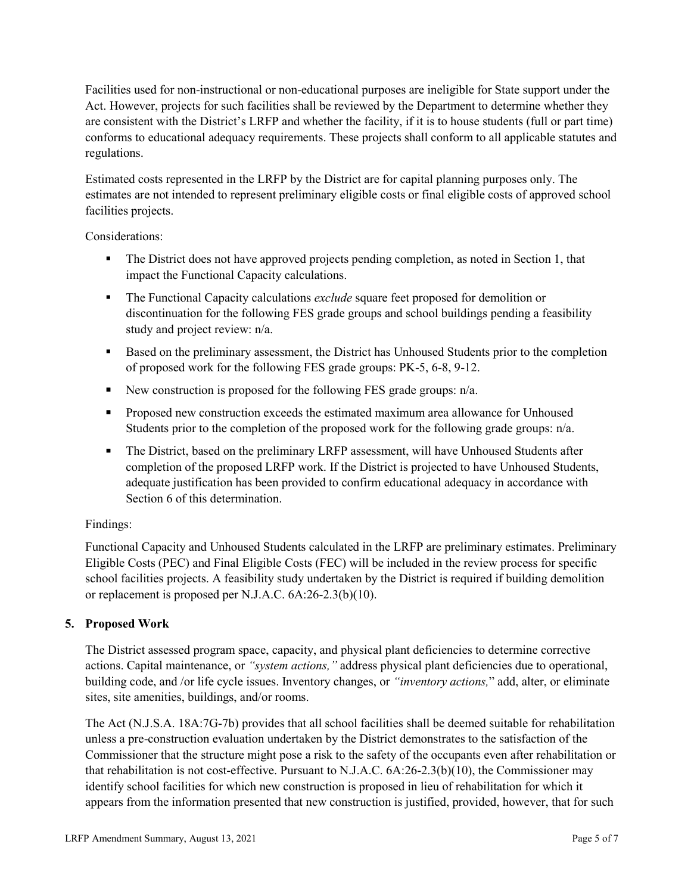Facilities used for non-instructional or non-educational purposes are ineligible for State support under the Act. However, projects for such facilities shall be reviewed by the Department to determine whether they are consistent with the District's LRFP and whether the facility, if it is to house students (full or part time) conforms to educational adequacy requirements. These projects shall conform to all applicable statutes and regulations.

Estimated costs represented in the LRFP by the District are for capital planning purposes only. The estimates are not intended to represent preliminary eligible costs or final eligible costs of approved school facilities projects.

Considerations:

- The District does not have approved projects pending completion, as noted in Section 1, that impact the Functional Capacity calculations.
- **The Functional Capacity calculations** *exclude* square feet proposed for demolition or discontinuation for the following FES grade groups and school buildings pending a feasibility study and project review: n/a.
- Based on the preliminary assessment, the District has Unhoused Students prior to the completion of proposed work for the following FES grade groups: PK-5, 6-8, 9-12.
- New construction is proposed for the following FES grade groups: n/a.
- Proposed new construction exceeds the estimated maximum area allowance for Unhoused Students prior to the completion of the proposed work for the following grade groups: n/a.
- The District, based on the preliminary LRFP assessment, will have Unhoused Students after completion of the proposed LRFP work. If the District is projected to have Unhoused Students, adequate justification has been provided to confirm educational adequacy in accordance with Section 6 of this determination.

# Findings:

Functional Capacity and Unhoused Students calculated in the LRFP are preliminary estimates. Preliminary Eligible Costs (PEC) and Final Eligible Costs (FEC) will be included in the review process for specific school facilities projects. A feasibility study undertaken by the District is required if building demolition or replacement is proposed per N.J.A.C. 6A:26-2.3(b)(10).

# **5. Proposed Work**

The District assessed program space, capacity, and physical plant deficiencies to determine corrective actions. Capital maintenance, or *"system actions,"* address physical plant deficiencies due to operational, building code, and /or life cycle issues. Inventory changes, or *"inventory actions,*" add, alter, or eliminate sites, site amenities, buildings, and/or rooms.

The Act (N.J.S.A. 18A:7G-7b) provides that all school facilities shall be deemed suitable for rehabilitation unless a pre-construction evaluation undertaken by the District demonstrates to the satisfaction of the Commissioner that the structure might pose a risk to the safety of the occupants even after rehabilitation or that rehabilitation is not cost-effective. Pursuant to N.J.A.C. 6A:26-2.3(b)(10), the Commissioner may identify school facilities for which new construction is proposed in lieu of rehabilitation for which it appears from the information presented that new construction is justified, provided, however, that for such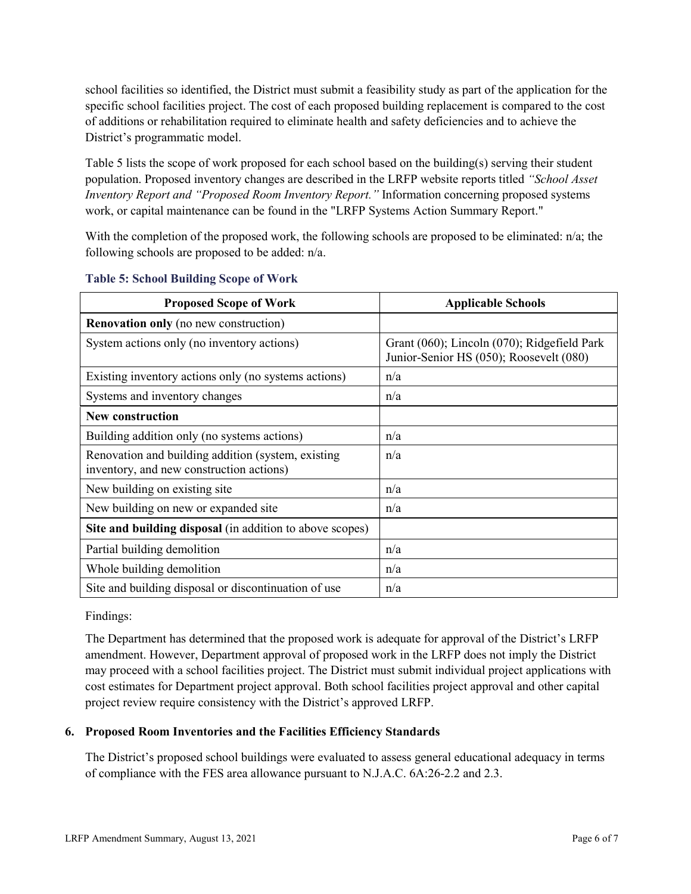school facilities so identified, the District must submit a feasibility study as part of the application for the specific school facilities project. The cost of each proposed building replacement is compared to the cost of additions or rehabilitation required to eliminate health and safety deficiencies and to achieve the District's programmatic model.

Table 5 lists the scope of work proposed for each school based on the building(s) serving their student population. Proposed inventory changes are described in the LRFP website reports titled *"School Asset Inventory Report and "Proposed Room Inventory Report."* Information concerning proposed systems work, or capital maintenance can be found in the "LRFP Systems Action Summary Report."

With the completion of the proposed work, the following schools are proposed to be eliminated:  $n/a$ ; the following schools are proposed to be added: n/a.

| <b>Proposed Scope of Work</b>                                                                  | <b>Applicable Schools</b>                                                              |
|------------------------------------------------------------------------------------------------|----------------------------------------------------------------------------------------|
| <b>Renovation only</b> (no new construction)                                                   |                                                                                        |
| System actions only (no inventory actions)                                                     | Grant (060); Lincoln (070); Ridgefield Park<br>Junior-Senior HS (050); Roosevelt (080) |
| Existing inventory actions only (no systems actions)                                           | n/a                                                                                    |
| Systems and inventory changes                                                                  | n/a                                                                                    |
| <b>New construction</b>                                                                        |                                                                                        |
| Building addition only (no systems actions)                                                    | n/a                                                                                    |
| Renovation and building addition (system, existing<br>inventory, and new construction actions) | n/a                                                                                    |
| New building on existing site                                                                  | n/a                                                                                    |
| New building on new or expanded site                                                           | n/a                                                                                    |
| Site and building disposal (in addition to above scopes)                                       |                                                                                        |
| Partial building demolition                                                                    | n/a                                                                                    |
| Whole building demolition                                                                      | n/a                                                                                    |
| Site and building disposal or discontinuation of use                                           | n/a                                                                                    |

#### **Table 5: School Building Scope of Work**

Findings:

The Department has determined that the proposed work is adequate for approval of the District's LRFP amendment. However, Department approval of proposed work in the LRFP does not imply the District may proceed with a school facilities project. The District must submit individual project applications with cost estimates for Department project approval. Both school facilities project approval and other capital project review require consistency with the District's approved LRFP.

# **6. Proposed Room Inventories and the Facilities Efficiency Standards**

The District's proposed school buildings were evaluated to assess general educational adequacy in terms of compliance with the FES area allowance pursuant to N.J.A.C. 6A:26-2.2 and 2.3.